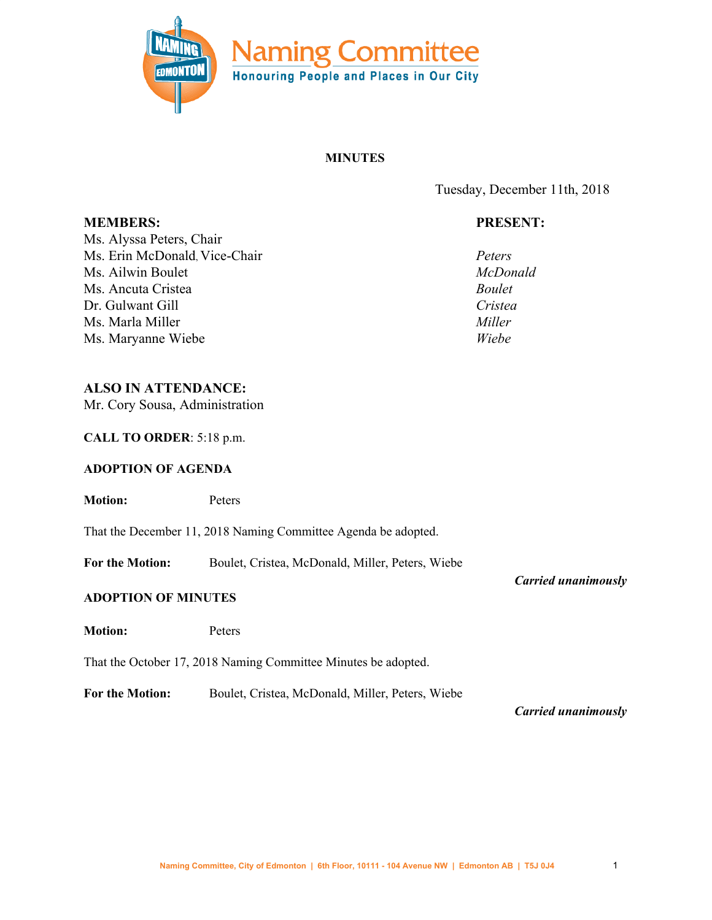

### **MINUTES**

Tuesday, December 11th, 2018

# **PRESENT:**

*Peters McDonald Boulet Cristea Miller Wiebe*

Ms. Alyssa Peters, Chair Ms. Erin McDonald, Vice-Chair Ms. Ailwin Boulet Ms. Ancuta Cristea Dr. Gulwant Gill Ms. Marla Miller Ms. Maryanne Wiebe

**MEMBERS:**

# **ALSO IN ATTENDANCE:**

Mr. Cory Sousa, Administration

**CALL TO ORDER**: 5:18 p.m.

### **ADOPTION OF AGENDA**

**Motion:** Peters

That the December 11, 2018 Naming Committee Agenda be adopted.

**For the Motion:** Boulet, Cristea, McDonald, Miller, Peters, Wiebe

#### **ADOPTION OF MINUTES**

**Motion:** Peters

That the October 17, 2018 Naming Committee Minutes be adopted.

**For the Motion:** Boulet, Cristea, McDonald, Miller, Peters, Wiebe

*Carried unanimously*

*Carried unanimously*

Naming [Committee,](mailto:cory.sousa@edmonton.ca) City of Edmonton | 6th Floor, 10111 - 104 Avenue NW | Edmonton AB | T5J 0J4 1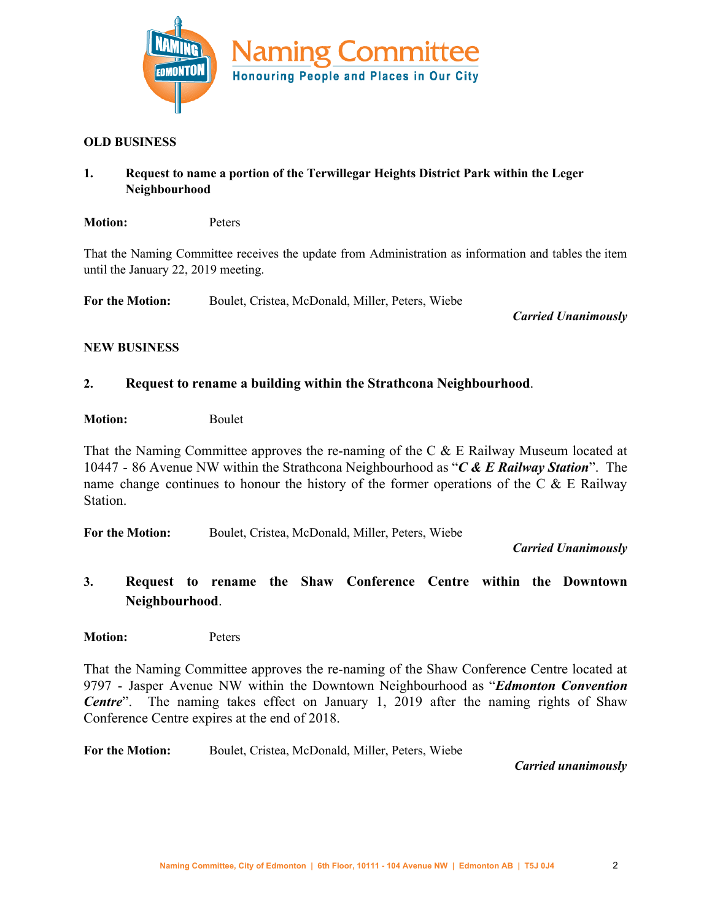

#### **OLD BUSINESS**

## **1. Request to name a portion of the Terwillegar Heights District Park within the Leger Neighbourhood**

**Motion:** Peters

That the Naming Committee receives the update from Administration as information and tables the item until the January 22, 2019 meeting.

**For the Motion:** Boulet, Cristea, McDonald, Miller, Peters, Wiebe

*Carried Unanimously*

### **NEW BUSINESS**

## **2. Request to rename a building within the Strathcona Neighbourhood**.

**Motion:** Boulet

That the Naming Committee approves the re-naming of the C & E Railway Museum located at 10447 - 86 Avenue NW within the Strathcona Neighbourhood as "*C & E Railway Station*". The name change continues to honour the history of the former operations of the C  $\&$  E Railway **Station** 

**For the Motion:** Boulet, Cristea, McDonald, Miller, Peters, Wiebe

*Carried Unanimously*

**3. Request to rename the Shaw Conference Centre within the Downtown Neighbourhood**.

**Motion:** Peters

That the Naming Committee approves the re-naming of the Shaw Conference Centre located at 9797 - Jasper Avenue NW within the Downtown Neighbourhood as "*Edmonton Convention Centre*". The naming takes effect on January 1, 2019 after the naming rights of Shaw Conference Centre expires at the end of 2018.

**For the Motion:** Boulet, Cristea, McDonald, Miller, Peters, Wiebe

*Carried unanimously*